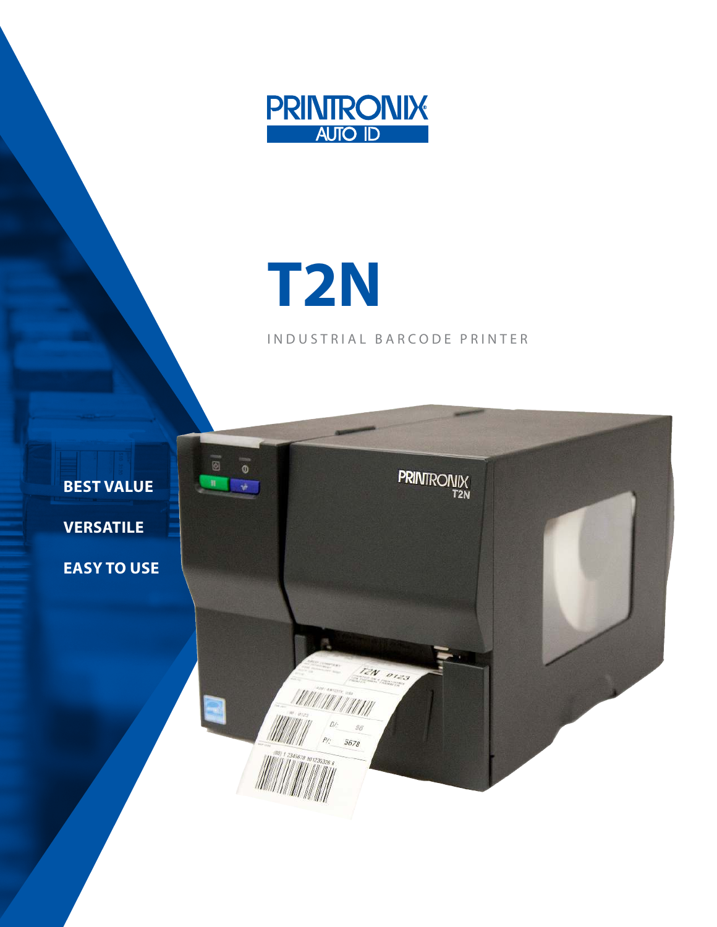

# **T2N**

INDUSTRIAL BARCODE PRINTER

TEN OTES

ANI MITINI

5678

**PRINTRONIX** 

**BEST VALUE**

 $\overline{\otimes}$ 

 $\mathfrak n$ 

 $\circ$ 

 $\rightarrow$ 

**VERSATILE**

**EASY TO USE**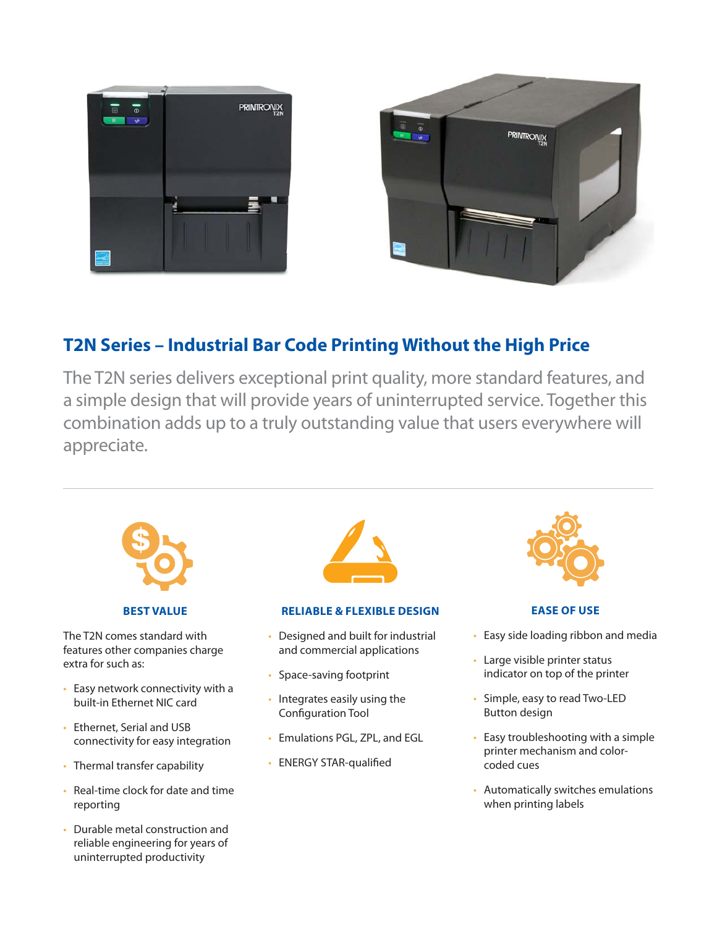



# **T2N Series – Industrial Bar Code Printing Without the High Price**

The T2N series delivers exceptional print quality, more standard features, and a simple design that will provide years of uninterrupted service. Together this combination adds up to a truly outstanding value that users everywhere will appreciate.



• Durable metal construction and reliable engineering for years of uninterrupted productivity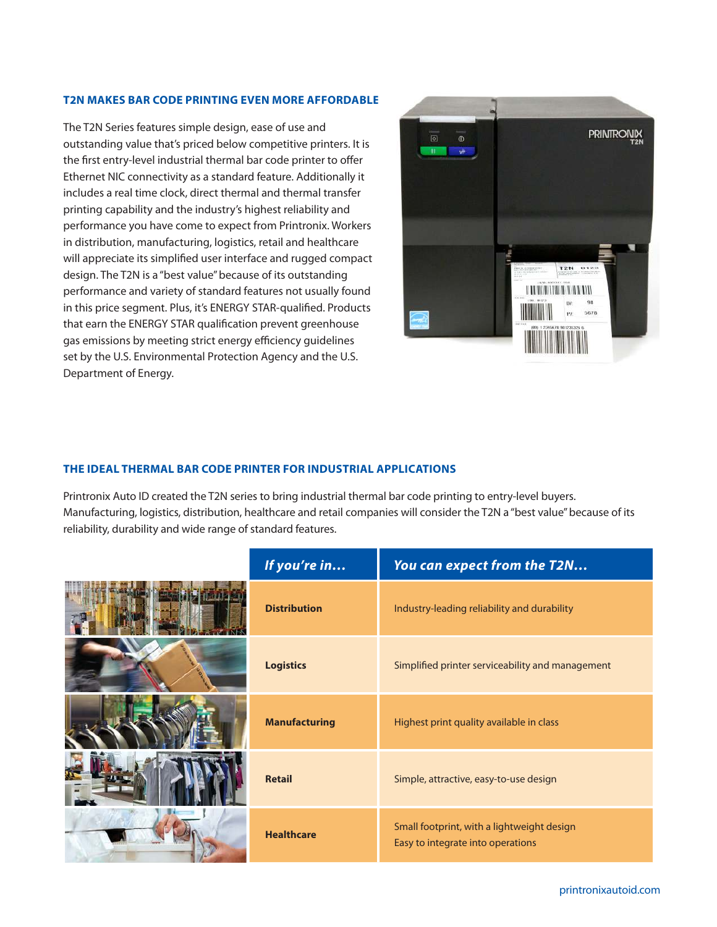## **T2N MAKES BAR CODE PRINTING EVEN MORE AFFORDABLE**

The T2N Series features simple design, ease of use and outstanding value that's priced below competitive printers. It is the first entry-level industrial thermal bar code printer to offer Ethernet NIC connectivity as a standard feature. Additionally it includes a real time clock, direct thermal and thermal transfer printing capability and the industry's highest reliability and performance you have come to expect from Printronix. Workers in distribution, manufacturing, logistics, retail and healthcare will appreciate its simplified user interface and rugged compact design. The T2N is a "best value" because of its outstanding performance and variety of standard features not usually found in this price segment. Plus, it's ENERGY STAR-qualified. Products that earn the ENERGY STAR qualification prevent greenhouse gas emissions by meeting strict energy efficiency guidelines set by the U.S. Environmental Protection Agency and the U.S. Department of Energy.



### **THE IDEAL THERMAL BAR CODE PRINTER FOR INDUSTRIAL APPLICATIONS**

Printronix Auto ID created the T2N series to bring industrial thermal bar code printing to entry-level buyers. Manufacturing, logistics, distribution, healthcare and retail companies will consider the T2N a "best value" because of its reliability, durability and wide range of standard features.

| If you're in         | You can expect from the T2N                                                     |
|----------------------|---------------------------------------------------------------------------------|
| <b>Distribution</b>  | Industry-leading reliability and durability                                     |
| <b>Logistics</b>     | Simplified printer serviceability and management                                |
| <b>Manufacturing</b> | Highest print quality available in class                                        |
| <b>Retail</b>        | Simple, attractive, easy-to-use design                                          |
| <b>Healthcare</b>    | Small footprint, with a lightweight design<br>Easy to integrate into operations |